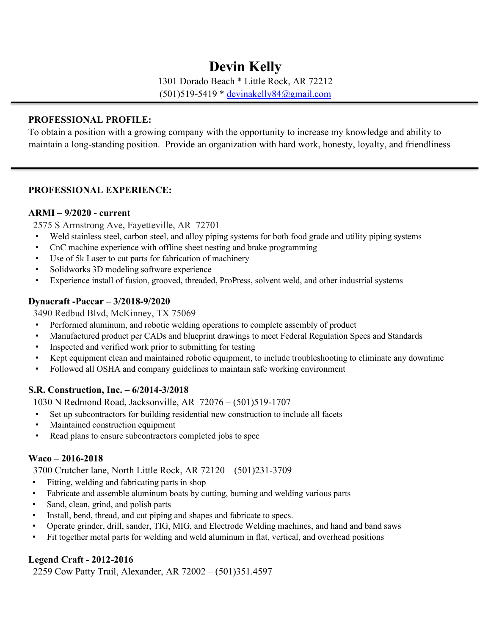# **Devin Kelly**

1301 Dorado Beach \* Little Rock, AR 72212 (501)519-5419 \* devinakelly84@gmail.com

#### **PROFESSIONAL PROFILE:**

To obtain a position with a growing company with the opportunity to increase my knowledge and ability to maintain a long-standing position. Provide an organization with hard work, honesty, loyalty, and friendliness

## **PROFESSIONAL EXPERIENCE:**

#### **ARMI – 9/2020 - current**

2575 S Armstrong Ave, Fayetteville, AR 72701

- Weld stainless steel, carbon steel, and alloy piping systems for both food grade and utility piping systems
- CnC machine experience with offline sheet nesting and brake programming
- Use of 5k Laser to cut parts for fabrication of machinery
- Solidworks 3D modeling software experience
- Experience install of fusion, grooved, threaded, ProPress, solvent weld, and other industrial systems

## **Dynacraft -Paccar – 3/2018-9/2020**

3490 Redbud Blvd, McKinney, TX 75069

- Performed aluminum, and robotic welding operations to complete assembly of product
- Manufactured product per CADs and blueprint drawings to meet Federal Regulation Specs and Standards
- Inspected and verified work prior to submitting for testing
- Kept equipment clean and maintained robotic equipment, to include troubleshooting to eliminate any downtime
- Followed all OSHA and company guidelines to maintain safe working environment

## **S.R. Construction, Inc. – 6/2014-3/2018**

1030 N Redmond Road, Jacksonville, AR 72076 – (501)519-1707

- Set up subcontractors for building residential new construction to include all facets
- Maintained construction equipment
- Read plans to ensure subcontractors completed jobs to spec

## **Waco – 2016-2018**

3700 Crutcher lane, North Little Rock, AR 72120 – (501)231-3709

- Fitting, welding and fabricating parts in shop
- Fabricate and assemble aluminum boats by cutting, burning and welding various parts
- Sand, clean, grind, and polish parts
- Install, bend, thread, and cut piping and shapes and fabricate to specs.
- Operate grinder, drill, sander, TIG, MIG, and Electrode Welding machines, and hand and band saws
- Fit together metal parts for welding and weld aluminum in flat, vertical, and overhead positions

## **Legend Craft - 2012-2016**

2259 Cow Patty Trail, Alexander, AR 72002 – (501)351.4597